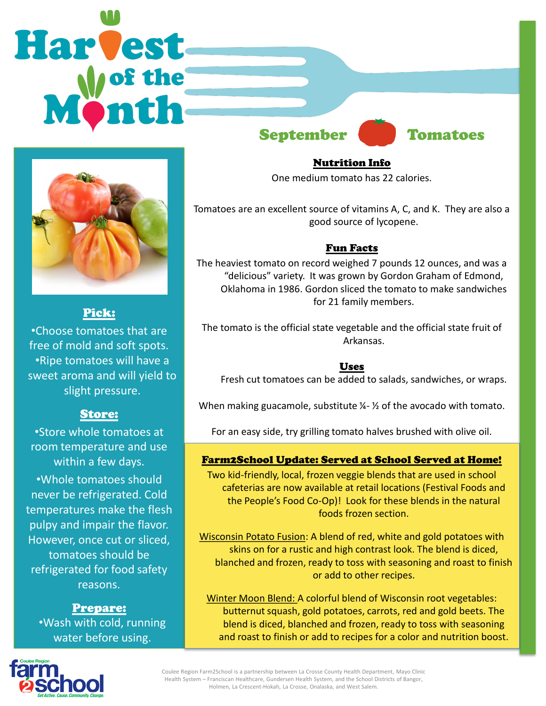# **Harvest** September Tomatoes



# Pick:

•Choose tomatoes that are free of mold and soft spots. •Ripe tomatoes will have a sweet aroma and will yield to slight pressure.

## Store:

•Store whole tomatoes at room temperature and use within a few days. •Whole tomatoes should never be refrigerated. Cold temperatures make the flesh pulpy and impair the flavor. However, once cut or sliced, tomatoes should be refrigerated for food safety reasons.

Prepare: •Wash with cold, running water before using.

Nutrition Info

One medium tomato has 22 calories.

Tomatoes are an excellent source of vitamins A, C, and K. They are also a good source of lycopene.

## Fun Facts

The heaviest tomato on record weighed 7 pounds 12 ounces, and was a "delicious" variety. It was grown by Gordon Graham of Edmond, Oklahoma in 1986. Gordon sliced the tomato to make sandwiches for 21 family members.

The tomato is the official state vegetable and the official state fruit of Arkansas.

### Uses

Fresh cut tomatoes can be added to salads, sandwiches, or wraps.

When making guacamole, substitute  $\frac{1}{2}$  of the avocado with tomato.

For an easy side, try grilling tomato halves brushed with olive oil.

## Farm2School Update: Served at School Served at Home!

Two kid-friendly, local, frozen veggie blends that are used in school cafeterias are now available at retail locations (Festival Foods and the People's Food Co-Op)! Look for these blends in the natural foods frozen section.

Wisconsin Potato Fusion: A blend of red, white and gold potatoes with skins on for a rustic and high contrast look. The blend is diced, blanched and frozen, ready to toss with seasoning and roast to finish or add to other recipes.

Winter Moon Blend: A colorful blend of Wisconsin root vegetables: butternut squash, gold potatoes, carrots, red and gold beets. The blend is diced, blanched and frozen, ready to toss with seasoning and roast to finish or add to recipes for a color and nutrition boost.



Coulee Region Farm2School is a partnership between La Crosse County Health Department, Mayo Clinic Health System – Franciscan Healthcare, Gundersen Health System, and the School Districts of Bangor, Holmen, La Crescent-Hokah, La Crosse, Onalaska, and West Salem.